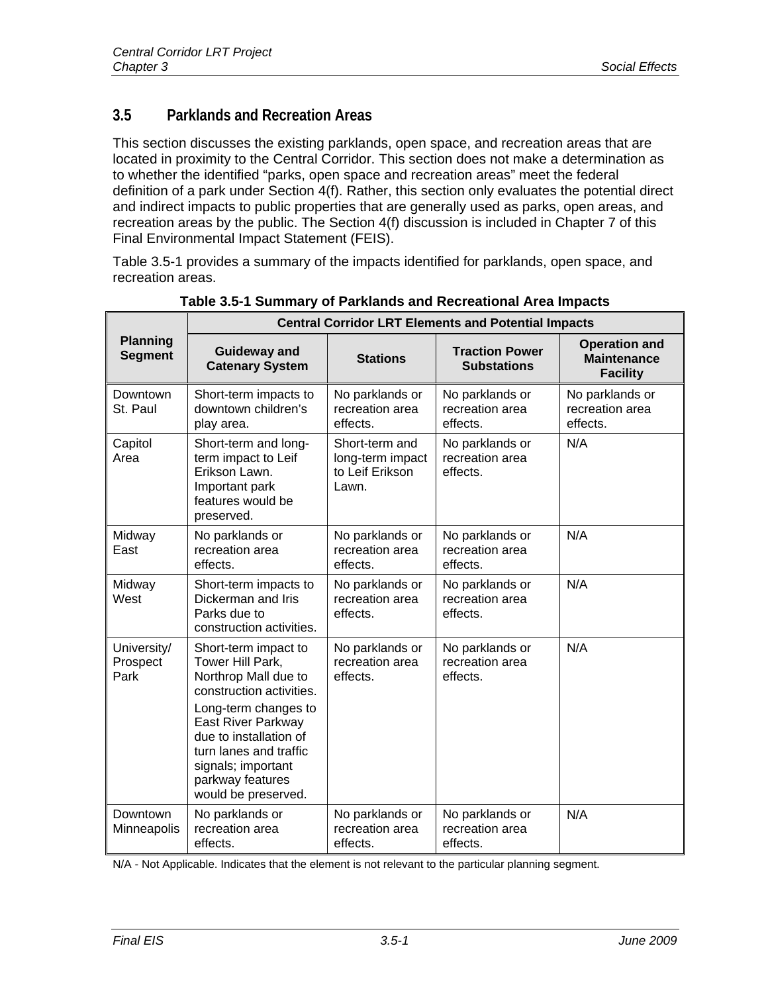# **3.5 Parklands and Recreation Areas**

This section discusses the existing parklands, open space, and recreation areas that are located in proximity to the Central Corridor. This section does not make a determination as to whether the identified "parks, open space and recreation areas" meet the federal definition of a park under Section 4(f). Rather, this section only evaluates the potential direct and indirect impacts to public properties that are generally used as parks, open areas, and recreation areas by the public. The Section 4(f) discussion is included in Chapter 7 of this Final Environmental Impact Statement (FEIS).

Table 3.5-1 provides a summary of the impacts identified for parklands, open space, and recreation areas.

|                                   | <b>Central Corridor LRT Elements and Potential Impacts</b>                                                                                                                                                                                                             |                                                                |                                                |                                                               |
|-----------------------------------|------------------------------------------------------------------------------------------------------------------------------------------------------------------------------------------------------------------------------------------------------------------------|----------------------------------------------------------------|------------------------------------------------|---------------------------------------------------------------|
| <b>Planning</b><br><b>Segment</b> | <b>Guideway and</b><br><b>Catenary System</b>                                                                                                                                                                                                                          | <b>Stations</b>                                                | <b>Traction Power</b><br><b>Substations</b>    | <b>Operation and</b><br><b>Maintenance</b><br><b>Facility</b> |
| Downtown<br>St. Paul              | Short-term impacts to<br>downtown children's<br>play area.                                                                                                                                                                                                             | No parklands or<br>recreation area<br>effects.                 | No parklands or<br>recreation area<br>effects. | No parklands or<br>recreation area<br>effects.                |
| Capitol<br>Area                   | Short-term and long-<br>term impact to Leif<br>Erikson Lawn.<br>Important park<br>features would be<br>preserved.                                                                                                                                                      | Short-term and<br>long-term impact<br>to Leif Erikson<br>Lawn. | No parklands or<br>recreation area<br>effects. | N/A                                                           |
| Midway<br>East                    | No parklands or<br>recreation area<br>effects.                                                                                                                                                                                                                         | No parklands or<br>recreation area<br>effects.                 | No parklands or<br>recreation area<br>effects. | N/A                                                           |
| Midway<br>West                    | Short-term impacts to<br>Dickerman and Iris<br>Parks due to<br>construction activities.                                                                                                                                                                                | No parklands or<br>recreation area<br>effects.                 | No parklands or<br>recreation area<br>effects. | N/A                                                           |
| University/<br>Prospect<br>Park   | Short-term impact to<br>Tower Hill Park,<br>Northrop Mall due to<br>construction activities.<br>Long-term changes to<br><b>East River Parkway</b><br>due to installation of<br>turn lanes and traffic<br>signals; important<br>parkway features<br>would be preserved. | No parklands or<br>recreation area<br>effects.                 | No parklands or<br>recreation area<br>effects. | N/A                                                           |
| Downtown<br>Minneapolis           | No parklands or<br>recreation area<br>effects.                                                                                                                                                                                                                         | No parklands or<br>recreation area<br>effects.                 | No parklands or<br>recreation area<br>effects. | N/A                                                           |

**Table 3.5-1 Summary of Parklands and Recreational Area Impacts** 

N/A - Not Applicable. Indicates that the element is not relevant to the particular planning segment.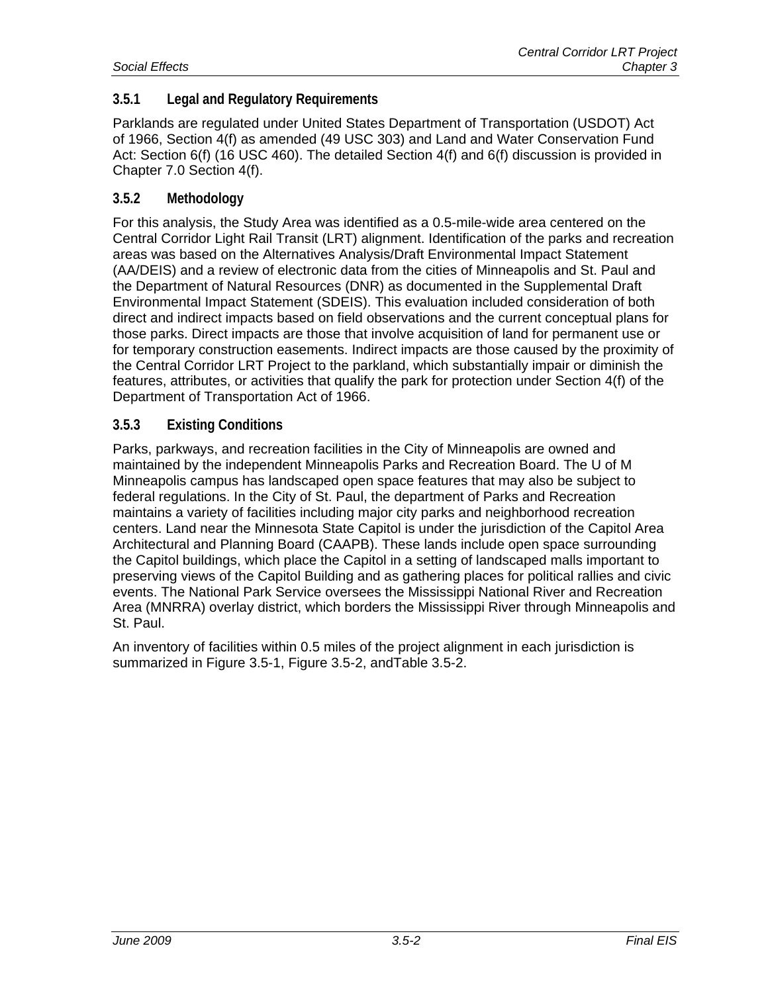# **3.5.1 Legal and Regulatory Requirements**

Parklands are regulated under United States Department of Transportation (USDOT) Act of 1966, Section 4(f) as amended (49 USC 303) and Land and Water Conservation Fund Act: Section 6(f) (16 USC 460). The detailed Section 4(f) and 6(f) discussion is provided in Chapter 7.0 Section 4(f).

#### **3.5.2 Methodology**

For this analysis, the Study Area was identified as a 0.5-mile-wide area centered on the Central Corridor Light Rail Transit (LRT) alignment. Identification of the parks and recreation areas was based on the Alternatives Analysis/Draft Environmental Impact Statement (AA/DEIS) and a review of electronic data from the cities of Minneapolis and St. Paul and the Department of Natural Resources (DNR) as documented in the Supplemental Draft Environmental Impact Statement (SDEIS). This evaluation included consideration of both direct and indirect impacts based on field observations and the current conceptual plans for those parks. Direct impacts are those that involve acquisition of land for permanent use or for temporary construction easements. Indirect impacts are those caused by the proximity of the Central Corridor LRT Project to the parkland, which substantially impair or diminish the features, attributes, or activities that qualify the park for protection under Section 4(f) of the Department of Transportation Act of 1966.

#### **3.5.3 Existing Conditions**

Parks, parkways, and recreation facilities in the City of Minneapolis are owned and maintained by the independent Minneapolis Parks and Recreation Board. The U of M Minneapolis campus has landscaped open space features that may also be subject to federal regulations. In the City of St. Paul, the department of Parks and Recreation maintains a variety of facilities including major city parks and neighborhood recreation centers. Land near the Minnesota State Capitol is under the jurisdiction of the Capitol Area Architectural and Planning Board (CAAPB). These lands include open space surrounding the Capitol buildings, which place the Capitol in a setting of landscaped malls important to preserving views of the Capitol Building and as gathering places for political rallies and civic events. The National Park Service oversees the Mississippi National River and Recreation Area (MNRRA) overlay district, which borders the Mississippi River through Minneapolis and St. Paul.

An inventory of facilities within 0.5 miles of the project alignment in each jurisdiction is summarized in Figure 3.5-1, Figure 3.5-2, andTable 3.5-2.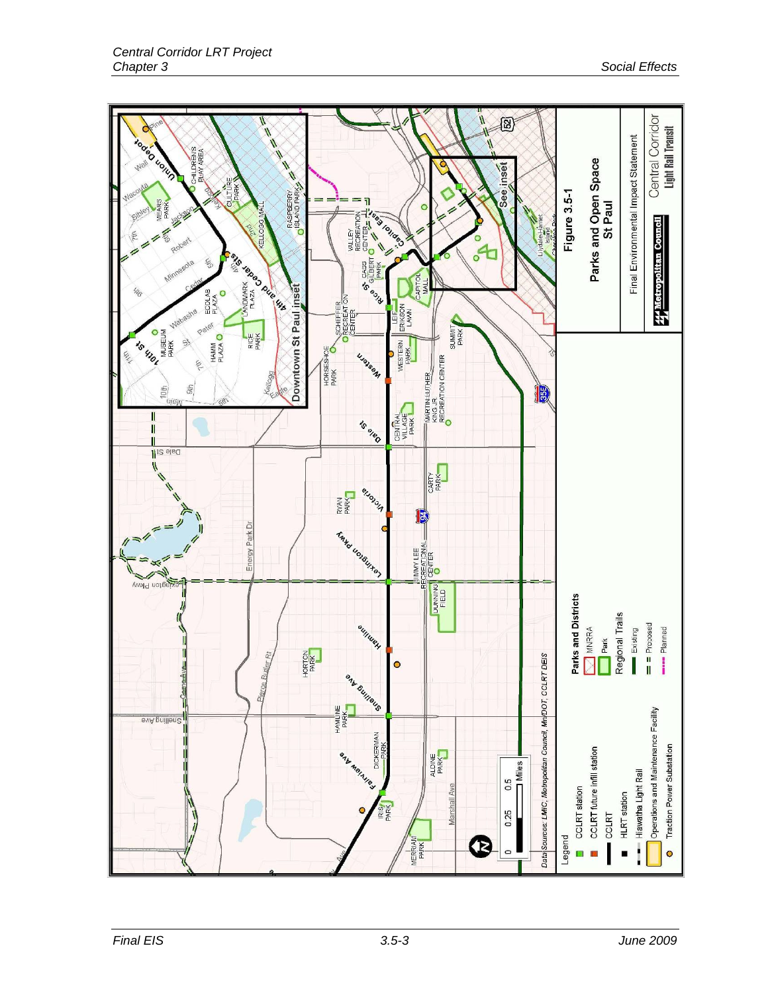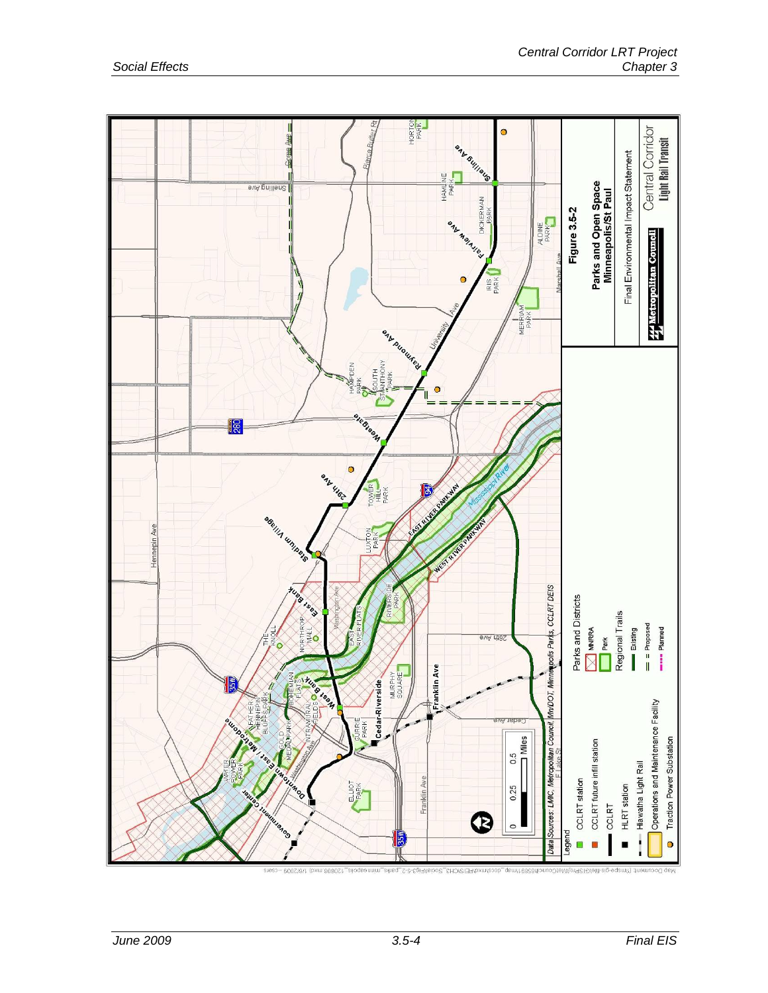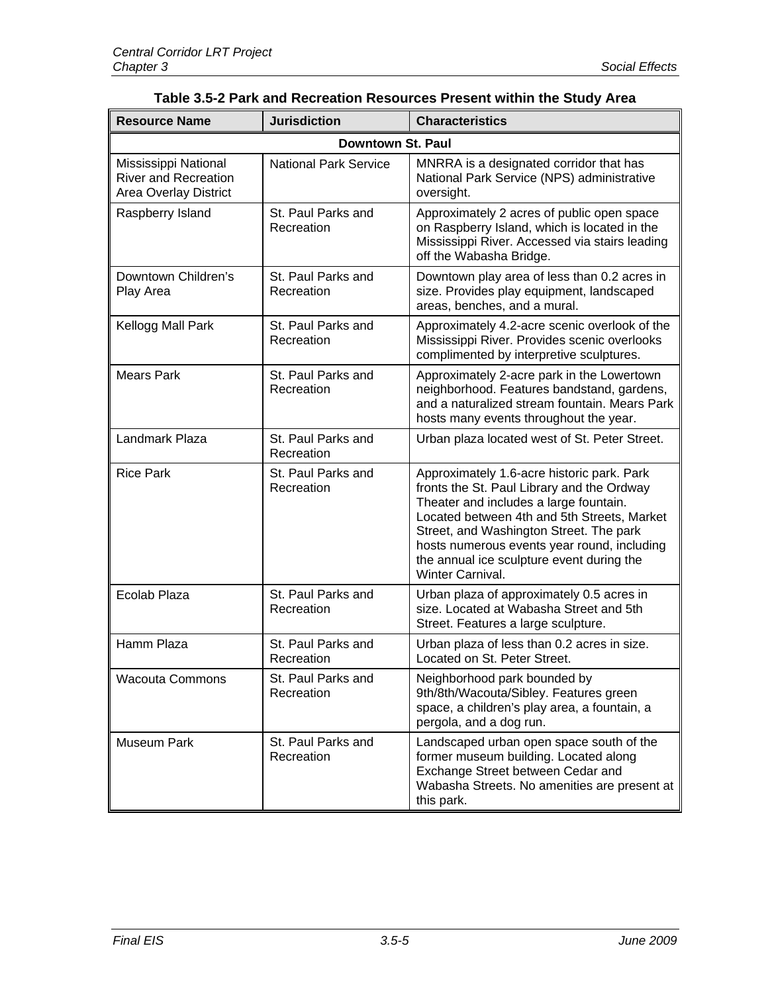| <b>Resource Name</b>                                                                | <b>Jurisdiction</b>              | <b>Characteristics</b>                                                                                                                                                                                                                                                                                                                       |  |
|-------------------------------------------------------------------------------------|----------------------------------|----------------------------------------------------------------------------------------------------------------------------------------------------------------------------------------------------------------------------------------------------------------------------------------------------------------------------------------------|--|
| Downtown St. Paul                                                                   |                                  |                                                                                                                                                                                                                                                                                                                                              |  |
| Mississippi National<br><b>River and Recreation</b><br><b>Area Overlay District</b> | <b>National Park Service</b>     | MNRRA is a designated corridor that has<br>National Park Service (NPS) administrative<br>oversight.                                                                                                                                                                                                                                          |  |
| Raspberry Island                                                                    | St. Paul Parks and<br>Recreation | Approximately 2 acres of public open space<br>on Raspberry Island, which is located in the<br>Mississippi River. Accessed via stairs leading<br>off the Wabasha Bridge.                                                                                                                                                                      |  |
| Downtown Children's<br>Play Area                                                    | St. Paul Parks and<br>Recreation | Downtown play area of less than 0.2 acres in<br>size. Provides play equipment, landscaped<br>areas, benches, and a mural.                                                                                                                                                                                                                    |  |
| Kellogg Mall Park                                                                   | St. Paul Parks and<br>Recreation | Approximately 4.2-acre scenic overlook of the<br>Mississippi River. Provides scenic overlooks<br>complimented by interpretive sculptures.                                                                                                                                                                                                    |  |
| <b>Mears Park</b>                                                                   | St. Paul Parks and<br>Recreation | Approximately 2-acre park in the Lowertown<br>neighborhood. Features bandstand, gardens,<br>and a naturalized stream fountain. Mears Park<br>hosts many events throughout the year.                                                                                                                                                          |  |
| Landmark Plaza                                                                      | St. Paul Parks and<br>Recreation | Urban plaza located west of St. Peter Street.                                                                                                                                                                                                                                                                                                |  |
| <b>Rice Park</b>                                                                    | St. Paul Parks and<br>Recreation | Approximately 1.6-acre historic park. Park<br>fronts the St. Paul Library and the Ordway<br>Theater and includes a large fountain.<br>Located between 4th and 5th Streets, Market<br>Street, and Washington Street. The park<br>hosts numerous events year round, including<br>the annual ice sculpture event during the<br>Winter Carnival. |  |
| Ecolab Plaza                                                                        | St. Paul Parks and<br>Recreation | Urban plaza of approximately 0.5 acres in<br>size. Located at Wabasha Street and 5th<br>Street. Features a large sculpture.                                                                                                                                                                                                                  |  |
| Hamm Plaza                                                                          | St. Paul Parks and<br>Recreation | Urban plaza of less than 0.2 acres in size.<br>Located on St. Peter Street.                                                                                                                                                                                                                                                                  |  |
| <b>Wacouta Commons</b>                                                              | St. Paul Parks and<br>Recreation | Neighborhood park bounded by<br>9th/8th/Wacouta/Sibley. Features green<br>space, a children's play area, a fountain, a<br>pergola, and a dog run.                                                                                                                                                                                            |  |
| Museum Park                                                                         | St. Paul Parks and<br>Recreation | Landscaped urban open space south of the<br>former museum building. Located along<br>Exchange Street between Cedar and<br>Wabasha Streets. No amenities are present at<br>this park.                                                                                                                                                         |  |

| Table 3.5-2 Park and Recreation Resources Present within the Study Area |  |  |
|-------------------------------------------------------------------------|--|--|
|-------------------------------------------------------------------------|--|--|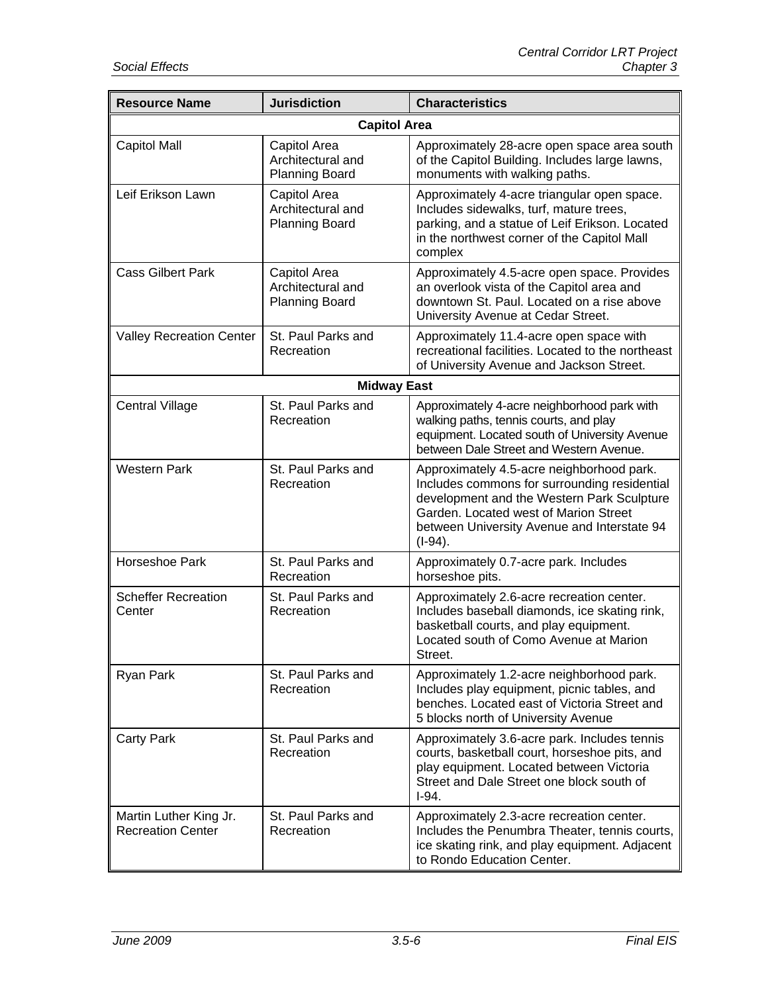| <b>Resource Name</b>                               | <b>Jurisdiction</b>                                        | <b>Characteristics</b>                                                                                                                                                                                                                        |
|----------------------------------------------------|------------------------------------------------------------|-----------------------------------------------------------------------------------------------------------------------------------------------------------------------------------------------------------------------------------------------|
|                                                    | <b>Capitol Area</b>                                        |                                                                                                                                                                                                                                               |
| <b>Capitol Mall</b>                                | Capitol Area<br>Architectural and<br><b>Planning Board</b> | Approximately 28-acre open space area south<br>of the Capitol Building. Includes large lawns,<br>monuments with walking paths.                                                                                                                |
| Leif Erikson Lawn                                  | Capitol Area<br>Architectural and<br><b>Planning Board</b> | Approximately 4-acre triangular open space.<br>Includes sidewalks, turf, mature trees,<br>parking, and a statue of Leif Erikson. Located<br>in the northwest corner of the Capitol Mall<br>complex                                            |
| <b>Cass Gilbert Park</b>                           | Capitol Area<br>Architectural and<br><b>Planning Board</b> | Approximately 4.5-acre open space. Provides<br>an overlook vista of the Capitol area and<br>downtown St. Paul. Located on a rise above<br>University Avenue at Cedar Street.                                                                  |
| <b>Valley Recreation Center</b>                    | St. Paul Parks and<br>Recreation                           | Approximately 11.4-acre open space with<br>recreational facilities. Located to the northeast<br>of University Avenue and Jackson Street.                                                                                                      |
|                                                    | <b>Midway East</b>                                         |                                                                                                                                                                                                                                               |
| <b>Central Village</b>                             | St. Paul Parks and<br>Recreation                           | Approximately 4-acre neighborhood park with<br>walking paths, tennis courts, and play<br>equipment. Located south of University Avenue<br>between Dale Street and Western Avenue.                                                             |
| <b>Western Park</b>                                | St. Paul Parks and<br>Recreation                           | Approximately 4.5-acre neighborhood park.<br>Includes commons for surrounding residential<br>development and the Western Park Sculpture<br>Garden. Located west of Marion Street<br>between University Avenue and Interstate 94<br>$(I-94)$ . |
| Horseshoe Park                                     | St. Paul Parks and<br>Recreation                           | Approximately 0.7-acre park. Includes<br>horseshoe pits.                                                                                                                                                                                      |
| <b>Scheffer Recreation</b><br>Center               | St. Paul Parks and<br>Recreation                           | Approximately 2.6-acre recreation center.<br>Includes baseball diamonds, ice skating rink,<br>basketball courts, and play equipment.<br>Located south of Como Avenue at Marion<br>Street.                                                     |
| Ryan Park                                          | St. Paul Parks and<br>Recreation                           | Approximately 1.2-acre neighborhood park.<br>Includes play equipment, picnic tables, and<br>benches. Located east of Victoria Street and<br>5 blocks north of University Avenue                                                               |
| <b>Carty Park</b>                                  | St. Paul Parks and<br>Recreation                           | Approximately 3.6-acre park. Includes tennis<br>courts, basketball court, horseshoe pits, and<br>play equipment. Located between Victoria<br>Street and Dale Street one block south of<br>$I-94.$                                             |
| Martin Luther King Jr.<br><b>Recreation Center</b> | St. Paul Parks and<br>Recreation                           | Approximately 2.3-acre recreation center.<br>Includes the Penumbra Theater, tennis courts,<br>ice skating rink, and play equipment. Adjacent<br>to Rondo Education Center.                                                                    |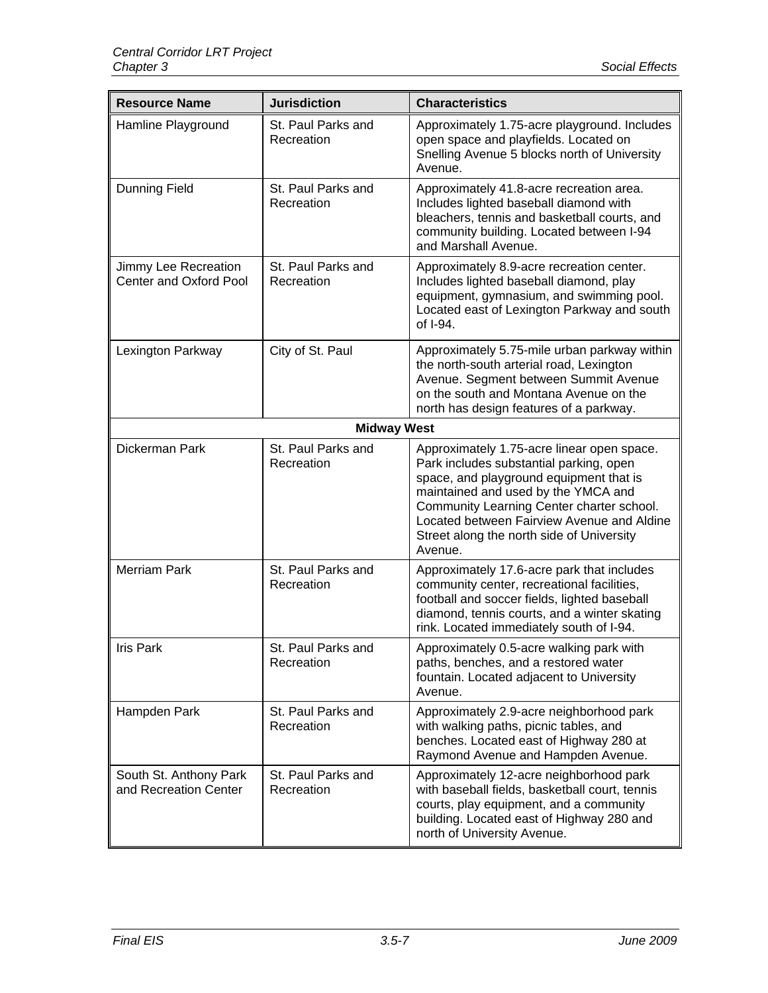| <b>Resource Name</b>                            | <b>Jurisdiction</b>              | <b>Characteristics</b>                                                                                                                                                                                                                                                                                                     |
|-------------------------------------------------|----------------------------------|----------------------------------------------------------------------------------------------------------------------------------------------------------------------------------------------------------------------------------------------------------------------------------------------------------------------------|
| Hamline Playground                              | St. Paul Parks and<br>Recreation | Approximately 1.75-acre playground. Includes<br>open space and playfields. Located on<br>Snelling Avenue 5 blocks north of University<br>Avenue.                                                                                                                                                                           |
| Dunning Field                                   | St. Paul Parks and<br>Recreation | Approximately 41.8-acre recreation area.<br>Includes lighted baseball diamond with<br>bleachers, tennis and basketball courts, and<br>community building. Located between I-94<br>and Marshall Avenue.                                                                                                                     |
| Jimmy Lee Recreation<br>Center and Oxford Pool  | St. Paul Parks and<br>Recreation | Approximately 8.9-acre recreation center.<br>Includes lighted baseball diamond, play<br>equipment, gymnasium, and swimming pool.<br>Located east of Lexington Parkway and south<br>of I-94.                                                                                                                                |
| Lexington Parkway                               | City of St. Paul                 | Approximately 5.75-mile urban parkway within<br>the north-south arterial road, Lexington<br>Avenue. Segment between Summit Avenue<br>on the south and Montana Avenue on the<br>north has design features of a parkway.                                                                                                     |
|                                                 | <b>Midway West</b>               |                                                                                                                                                                                                                                                                                                                            |
| Dickerman Park                                  | St. Paul Parks and<br>Recreation | Approximately 1.75-acre linear open space.<br>Park includes substantial parking, open<br>space, and playground equipment that is<br>maintained and used by the YMCA and<br>Community Learning Center charter school.<br>Located between Fairview Avenue and Aldine<br>Street along the north side of University<br>Avenue. |
| <b>Merriam Park</b>                             | St. Paul Parks and<br>Recreation | Approximately 17.6-acre park that includes<br>community center, recreational facilities,<br>football and soccer fields, lighted baseball<br>diamond, tennis courts, and a winter skating<br>rink. Located immediately south of I-94.                                                                                       |
| <b>Iris Park</b>                                | St. Paul Parks and<br>Recreation | Approximately 0.5-acre walking park with<br>paths, benches, and a restored water<br>fountain. Located adjacent to University<br>Avenue.                                                                                                                                                                                    |
| Hampden Park                                    | St. Paul Parks and<br>Recreation | Approximately 2.9-acre neighborhood park<br>with walking paths, picnic tables, and<br>benches. Located east of Highway 280 at<br>Raymond Avenue and Hampden Avenue.                                                                                                                                                        |
| South St. Anthony Park<br>and Recreation Center | St. Paul Parks and<br>Recreation | Approximately 12-acre neighborhood park<br>with baseball fields, basketball court, tennis<br>courts, play equipment, and a community<br>building. Located east of Highway 280 and<br>north of University Avenue.                                                                                                           |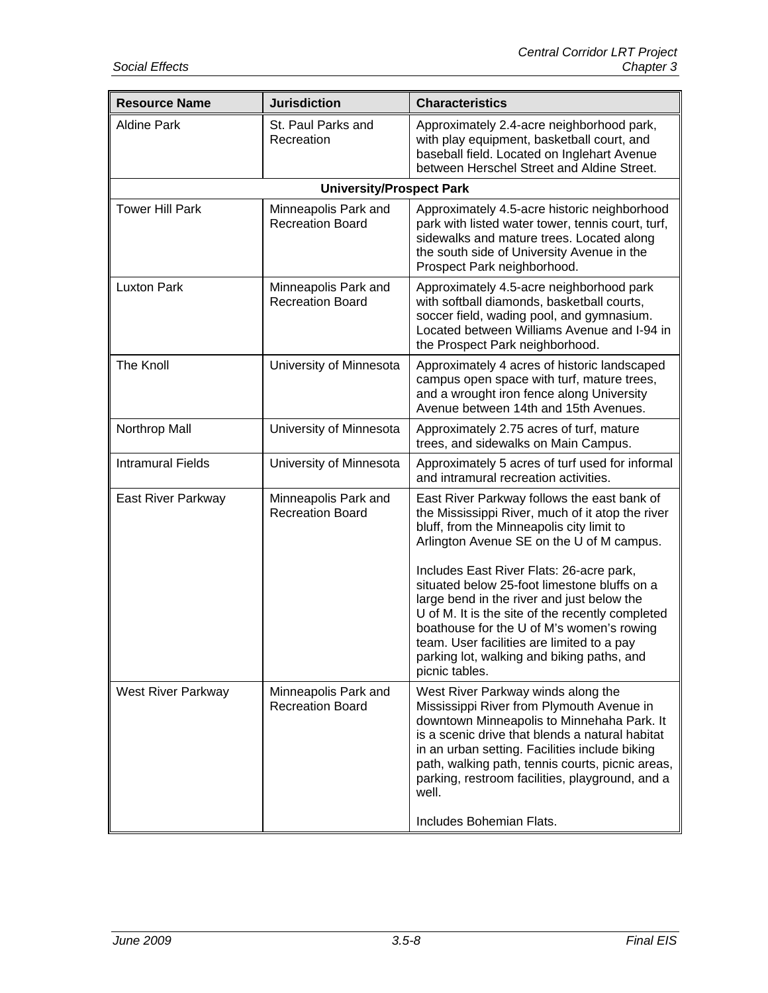| <b>Resource Name</b>      | <b>Jurisdiction</b>                             | <b>Characteristics</b>                                                                                                                                                                                                                                                                                                                                                         |
|---------------------------|-------------------------------------------------|--------------------------------------------------------------------------------------------------------------------------------------------------------------------------------------------------------------------------------------------------------------------------------------------------------------------------------------------------------------------------------|
| <b>Aldine Park</b>        | St. Paul Parks and<br>Recreation                | Approximately 2.4-acre neighborhood park,<br>with play equipment, basketball court, and<br>baseball field. Located on Inglehart Avenue<br>between Herschel Street and Aldine Street.                                                                                                                                                                                           |
|                           | <b>University/Prospect Park</b>                 |                                                                                                                                                                                                                                                                                                                                                                                |
| <b>Tower Hill Park</b>    | Minneapolis Park and<br><b>Recreation Board</b> | Approximately 4.5-acre historic neighborhood<br>park with listed water tower, tennis court, turf,<br>sidewalks and mature trees. Located along<br>the south side of University Avenue in the<br>Prospect Park neighborhood.                                                                                                                                                    |
| <b>Luxton Park</b>        | Minneapolis Park and<br><b>Recreation Board</b> | Approximately 4.5-acre neighborhood park<br>with softball diamonds, basketball courts,<br>soccer field, wading pool, and gymnasium.<br>Located between Williams Avenue and I-94 in<br>the Prospect Park neighborhood.                                                                                                                                                          |
| The Knoll                 | University of Minnesota                         | Approximately 4 acres of historic landscaped<br>campus open space with turf, mature trees,<br>and a wrought iron fence along University<br>Avenue between 14th and 15th Avenues.                                                                                                                                                                                               |
| Northrop Mall             | University of Minnesota                         | Approximately 2.75 acres of turf, mature<br>trees, and sidewalks on Main Campus.                                                                                                                                                                                                                                                                                               |
| <b>Intramural Fields</b>  | University of Minnesota                         | Approximately 5 acres of turf used for informal<br>and intramural recreation activities.                                                                                                                                                                                                                                                                                       |
| East River Parkway        | Minneapolis Park and<br><b>Recreation Board</b> | East River Parkway follows the east bank of<br>the Mississippi River, much of it atop the river<br>bluff, from the Minneapolis city limit to<br>Arlington Avenue SE on the U of M campus.                                                                                                                                                                                      |
|                           |                                                 | Includes East River Flats: 26-acre park,<br>situated below 25-foot limestone bluffs on a<br>large bend in the river and just below the<br>U of M. It is the site of the recently completed<br>boathouse for the U of M's women's rowing<br>team. User facilities are limited to a pay<br>parking lot, walking and biking paths, and<br>picnic tables.                          |
| <b>West River Parkway</b> | Minneapolis Park and<br><b>Recreation Board</b> | West River Parkway winds along the<br>Mississippi River from Plymouth Avenue in<br>downtown Minneapolis to Minnehaha Park. It<br>is a scenic drive that blends a natural habitat<br>in an urban setting. Facilities include biking<br>path, walking path, tennis courts, picnic areas,<br>parking, restroom facilities, playground, and a<br>well.<br>Includes Bohemian Flats. |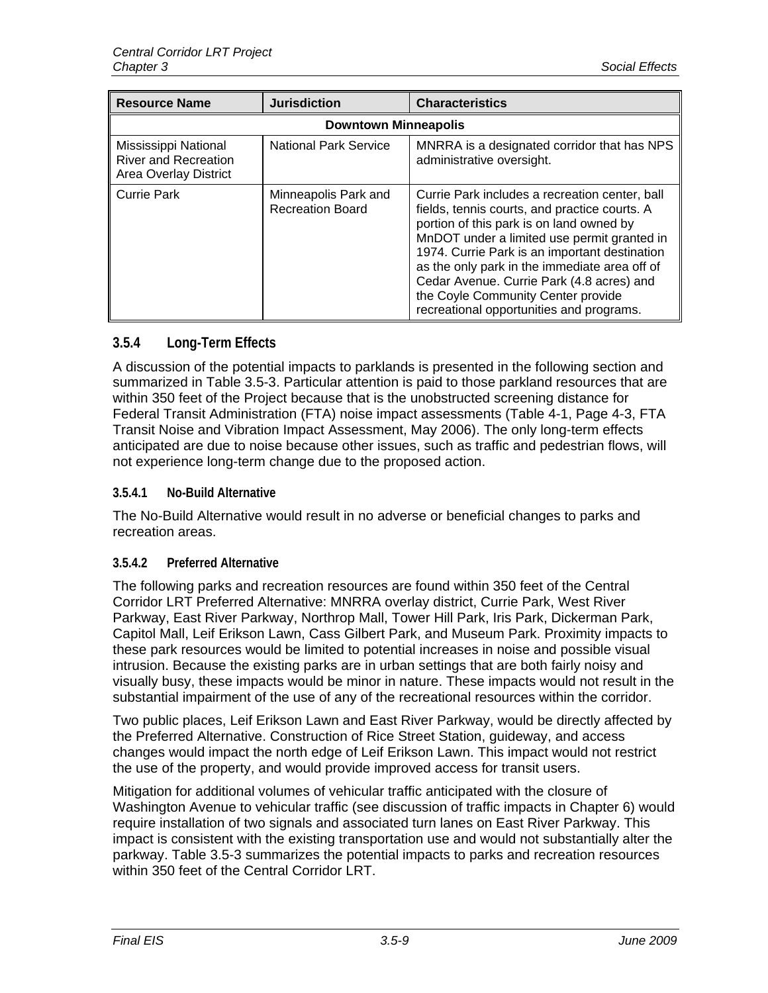| <b>Resource Name</b>                                                         | <b>Jurisdiction</b>                             | <b>Characteristics</b>                                                                                                                                                                                                                                                                                                                                                                                                      |  |
|------------------------------------------------------------------------------|-------------------------------------------------|-----------------------------------------------------------------------------------------------------------------------------------------------------------------------------------------------------------------------------------------------------------------------------------------------------------------------------------------------------------------------------------------------------------------------------|--|
| <b>Downtown Minneapolis</b>                                                  |                                                 |                                                                                                                                                                                                                                                                                                                                                                                                                             |  |
| Mississippi National<br><b>River and Recreation</b><br>Area Overlay District | <b>National Park Service</b>                    | MNRRA is a designated corridor that has NPS<br>administrative oversight.                                                                                                                                                                                                                                                                                                                                                    |  |
| Currie Park                                                                  | Minneapolis Park and<br><b>Recreation Board</b> | Currie Park includes a recreation center, ball<br>fields, tennis courts, and practice courts. A<br>portion of this park is on land owned by<br>MnDOT under a limited use permit granted in<br>1974. Currie Park is an important destination<br>as the only park in the immediate area off of<br>Cedar Avenue. Currie Park (4.8 acres) and<br>the Coyle Community Center provide<br>recreational opportunities and programs. |  |

# **3.5.4 Long-Term Effects**

A discussion of the potential impacts to parklands is presented in the following section and summarized in Table 3.5-3. Particular attention is paid to those parkland resources that are within 350 feet of the Project because that is the unobstructed screening distance for Federal Transit Administration (FTA) noise impact assessments (Table 4-1, Page 4-3, FTA Transit Noise and Vibration Impact Assessment, May 2006). The only long-term effects anticipated are due to noise because other issues, such as traffic and pedestrian flows, will not experience long-term change due to the proposed action.

#### **3.5.4.1 No-Build Alternative**

The No-Build Alternative would result in no adverse or beneficial changes to parks and recreation areas.

# **3.5.4.2 Preferred Alternative**

The following parks and recreation resources are found within 350 feet of the Central Corridor LRT Preferred Alternative: MNRRA overlay district, Currie Park, West River Parkway, East River Parkway, Northrop Mall, Tower Hill Park, Iris Park, Dickerman Park, Capitol Mall, Leif Erikson Lawn, Cass Gilbert Park, and Museum Park. Proximity impacts to these park resources would be limited to potential increases in noise and possible visual intrusion. Because the existing parks are in urban settings that are both fairly noisy and visually busy, these impacts would be minor in nature. These impacts would not result in the substantial impairment of the use of any of the recreational resources within the corridor.

Two public places, Leif Erikson Lawn and East River Parkway, would be directly affected by the Preferred Alternative. Construction of Rice Street Station, guideway, and access changes would impact the north edge of Leif Erikson Lawn. This impact would not restrict the use of the property, and would provide improved access for transit users.

Mitigation for additional volumes of vehicular traffic anticipated with the closure of Washington Avenue to vehicular traffic (see discussion of traffic impacts in Chapter 6) would require installation of two signals and associated turn lanes on East River Parkway. This impact is consistent with the existing transportation use and would not substantially alter the parkway. Table 3.5-3 summarizes the potential impacts to parks and recreation resources within 350 feet of the Central Corridor LRT.